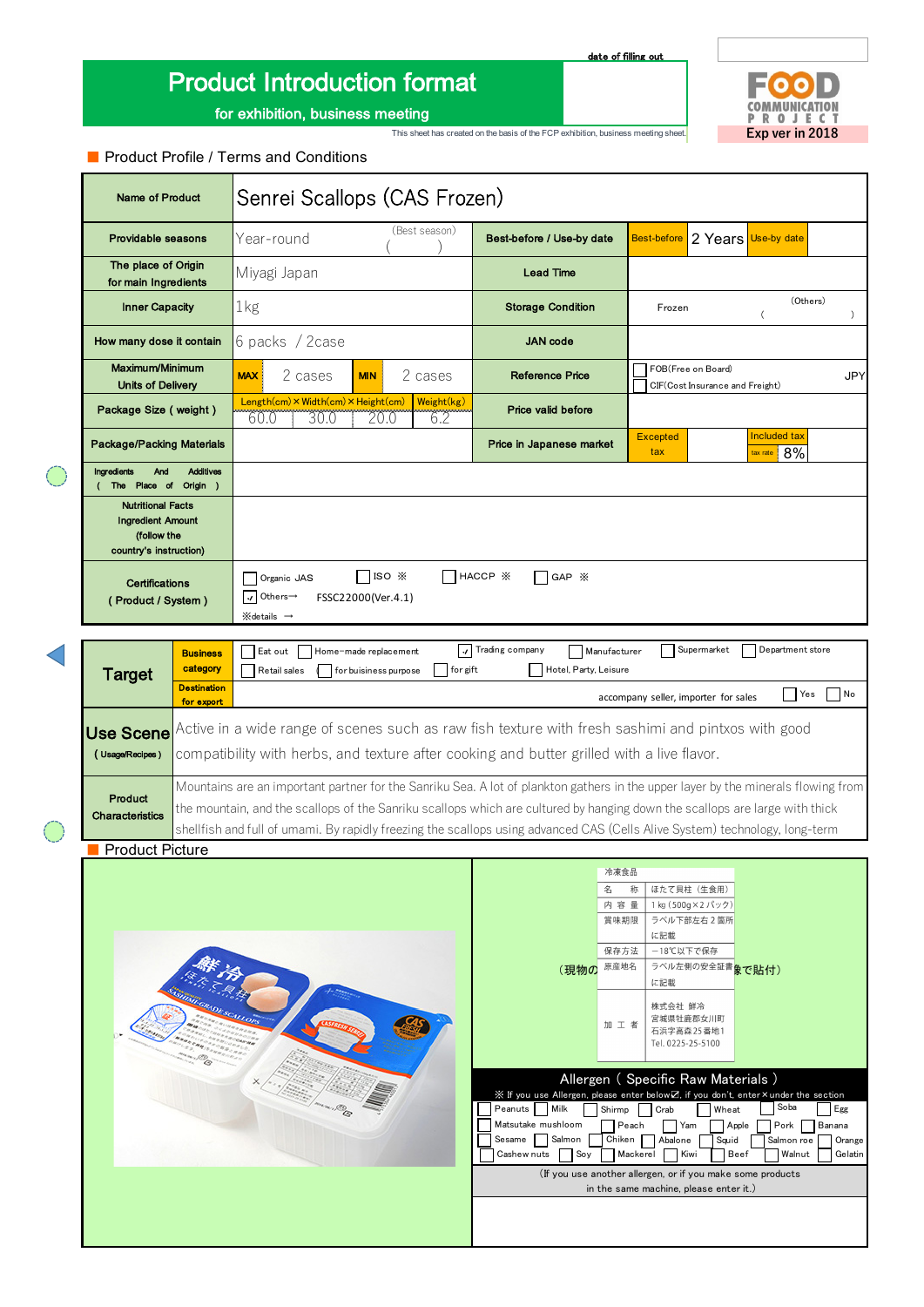# Product Introduction format

date of filling out

E7 COMMUNICATION This sheet has created on the basis of the FCP exhibition, business meeting sheet. **Exp ver in 2018** 

for exhibition, business meeting

### ■ Product Profile / Terms and Conditions

| <b>Name of Product</b>                                                                                                                                                                                                                                                                                                                                                                                                               | Senrei Scallops (CAS Frozen)                                                                                                                             |                   |                                                                                                                                                                                                                                       |                                                                                                                                                  |                                                                                                           |                                              |                                    |
|--------------------------------------------------------------------------------------------------------------------------------------------------------------------------------------------------------------------------------------------------------------------------------------------------------------------------------------------------------------------------------------------------------------------------------------|----------------------------------------------------------------------------------------------------------------------------------------------------------|-------------------|---------------------------------------------------------------------------------------------------------------------------------------------------------------------------------------------------------------------------------------|--------------------------------------------------------------------------------------------------------------------------------------------------|-----------------------------------------------------------------------------------------------------------|----------------------------------------------|------------------------------------|
| Providable seasons                                                                                                                                                                                                                                                                                                                                                                                                                   | Year-round                                                                                                                                               | (Best season)     | Best-before / Use-by date                                                                                                                                                                                                             | <b>Best-before</b>                                                                                                                               | 2 Years Use-by date                                                                                       |                                              |                                    |
| The place of Origin<br>for main Ingredients                                                                                                                                                                                                                                                                                                                                                                                          | Miyagi Japan                                                                                                                                             |                   |                                                                                                                                                                                                                                       |                                                                                                                                                  |                                                                                                           |                                              |                                    |
| <b>Inner Capacity</b>                                                                                                                                                                                                                                                                                                                                                                                                                | 1kg                                                                                                                                                      |                   |                                                                                                                                                                                                                                       | Frozen                                                                                                                                           |                                                                                                           | (Others)<br>$\overline{C}$                   | $\lambda$                          |
| How many dose it contain                                                                                                                                                                                                                                                                                                                                                                                                             | 6 packs / 2 case                                                                                                                                         |                   | <b>JAN</b> code                                                                                                                                                                                                                       |                                                                                                                                                  |                                                                                                           |                                              |                                    |
| Maximum/Minimum<br><b>Units of Delivery</b>                                                                                                                                                                                                                                                                                                                                                                                          | 2 cases<br><b>MAX</b><br><b>MIN</b>                                                                                                                      | 2 cases           | Reference Price                                                                                                                                                                                                                       |                                                                                                                                                  | FOB(Free on Board)<br>CIF(Cost Insurance and Freight)                                                     |                                              | <b>JPY</b>                         |
| Package Size (weight)                                                                                                                                                                                                                                                                                                                                                                                                                | Length(cm) × Width(cm) × Height(cm)<br>30.0<br>20.0<br>60.0                                                                                              | Weight(kg)<br>6.2 | Price valid before                                                                                                                                                                                                                    |                                                                                                                                                  |                                                                                                           |                                              |                                    |
| <b>Package/Packing Materials</b>                                                                                                                                                                                                                                                                                                                                                                                                     |                                                                                                                                                          |                   | Price in Japanese market                                                                                                                                                                                                              | <b>Excepted</b><br>tax                                                                                                                           |                                                                                                           | Included tax<br>$\frac{1}{2}$ tax rate $8\%$ |                                    |
| <b>Ingredients</b><br>And<br><b>Additives</b><br>The Place of Origin )                                                                                                                                                                                                                                                                                                                                                               |                                                                                                                                                          |                   |                                                                                                                                                                                                                                       |                                                                                                                                                  |                                                                                                           |                                              |                                    |
| <b>Nutritional Facts</b><br><b>Ingredient Amount</b><br>(follow the<br>country's instruction)                                                                                                                                                                                                                                                                                                                                        |                                                                                                                                                          |                   |                                                                                                                                                                                                                                       |                                                                                                                                                  |                                                                                                           |                                              |                                    |
| Certifications<br>(Product / System)                                                                                                                                                                                                                                                                                                                                                                                                 | $ISO \times$<br>$\neg$ HACCP $\mathbb X$<br>GAP X<br>Organic JAS<br>Others→<br>$\mathcal{A}$<br>FSSC22000(Ver.4.1)<br>$\mathbb{X}$ details $\rightarrow$ |                   |                                                                                                                                                                                                                                       |                                                                                                                                                  |                                                                                                           |                                              |                                    |
|                                                                                                                                                                                                                                                                                                                                                                                                                                      |                                                                                                                                                          |                   |                                                                                                                                                                                                                                       |                                                                                                                                                  |                                                                                                           |                                              |                                    |
| <b>Business</b><br>category<br><b>Target</b>                                                                                                                                                                                                                                                                                                                                                                                         | Eat out<br>Home-made replacement<br>Retail sales<br>for buisiness purpose                                                                                | ا۱۰<br>for gift   | Trading company<br>Manufacturer<br>Hotel, Party, Leisure                                                                                                                                                                              |                                                                                                                                                  | Supermarket                                                                                               | Department store                             |                                    |
| <b>Destination</b><br>accompany seller, importer for sales<br>for export                                                                                                                                                                                                                                                                                                                                                             |                                                                                                                                                          |                   |                                                                                                                                                                                                                                       |                                                                                                                                                  |                                                                                                           | Yes                                          | N <sub>o</sub>                     |
| Active in a wide range of scenes such as raw fish texture with fresh sashimi and pintxos with good<br>Use Scene<br>compatibility with herbs, and texture after cooking and butter grilled with a live flavor.<br>(Usage/Recipes)                                                                                                                                                                                                     |                                                                                                                                                          |                   |                                                                                                                                                                                                                                       |                                                                                                                                                  |                                                                                                           |                                              |                                    |
| Mountains are an important partner for the Sanriku Sea. A lot of plankton gathers in the upper layer by the minerals flowing from<br>Product<br>the mountain, and the scallops of the Sanriku scallops which are cultured by hanging down the scallops are large with thick<br><b>Characteristics</b><br>shellfish and full of umami. By rapidly freezing the scallops using advanced CAS (Cells Alive System) technology, long-term |                                                                                                                                                          |                   |                                                                                                                                                                                                                                       |                                                                                                                                                  |                                                                                                           |                                              |                                    |
| <b>Product Picture</b>                                                                                                                                                                                                                                                                                                                                                                                                               |                                                                                                                                                          |                   |                                                                                                                                                                                                                                       |                                                                                                                                                  |                                                                                                           |                                              |                                    |
| GRADE SCALL                                                                                                                                                                                                                                                                                                                                                                                                                          |                                                                                                                                                          |                   | 名<br>(現物の                                                                                                                                                                                                                             | 冷凍食品<br>称<br>内容量<br>賞味期限<br>に記載<br>-18℃以下で保存<br>保存方法<br>原産地名<br>に記載<br>株式会社 鮮冷<br>加工者<br>Tel. 0225-25-5100                                       | ほたて貝柱 (生食用)<br>1 kg (500g×2パック)<br>ラベル下部左右2箇所<br>ラベル左側の安全証書 <mark>象で貼付)</mark><br>宮城県牡鹿郡女川町<br>石浜字高森25番地1 |                                              |                                    |
|                                                                                                                                                                                                                                                                                                                                                                                                                                      |                                                                                                                                                          |                   | ※ If you use Allergen, please enter below on if you don't, enter × under the section<br>Milk<br>Peanuts<br>Matsutake mushloom<br>Sesame<br>Salmon<br>Soy<br>Cashew nuts<br>(If you use another allergen, or if you make some products | Allergen (Specific Raw Materials)<br>Shirmp<br>Crab<br>Peach<br>  Yam<br>Chiken<br>Abalone<br>Mackerel<br>in the same machine, please enter it.) | Wheat<br>Apple<br>Squid<br>Beef<br>Kiwi                                                                   | Soba<br>Pork<br>Salmon roe<br>Walnut         | Egg<br>Banana<br>Orange<br>Gelatin |